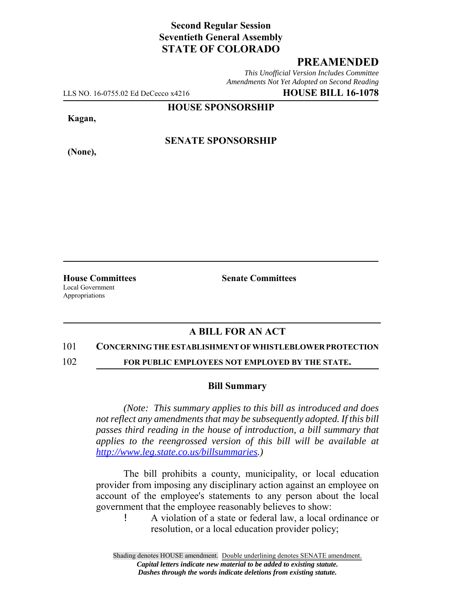# **Second Regular Session Seventieth General Assembly STATE OF COLORADO**

### **PREAMENDED**

*This Unofficial Version Includes Committee Amendments Not Yet Adopted on Second Reading*

LLS NO. 16-0755.02 Ed DeCecco x4216 **HOUSE BILL 16-1078**

**HOUSE SPONSORSHIP**

**Kagan,**

**(None),**

**SENATE SPONSORSHIP**

**House Committees Senate Committees** Local Government Appropriations

# **A BILL FOR AN ACT**

#### 101 **CONCERNING THE ESTABLISHMENT OF WHISTLEBLOWER PROTECTION**

102 **FOR PUBLIC EMPLOYEES NOT EMPLOYED BY THE STATE.**

#### **Bill Summary**

*(Note: This summary applies to this bill as introduced and does not reflect any amendments that may be subsequently adopted. If this bill passes third reading in the house of introduction, a bill summary that applies to the reengrossed version of this bill will be available at http://www.leg.state.co.us/billsummaries.)*

The bill prohibits a county, municipality, or local education provider from imposing any disciplinary action against an employee on account of the employee's statements to any person about the local government that the employee reasonably believes to show:

! A violation of a state or federal law, a local ordinance or resolution, or a local education provider policy;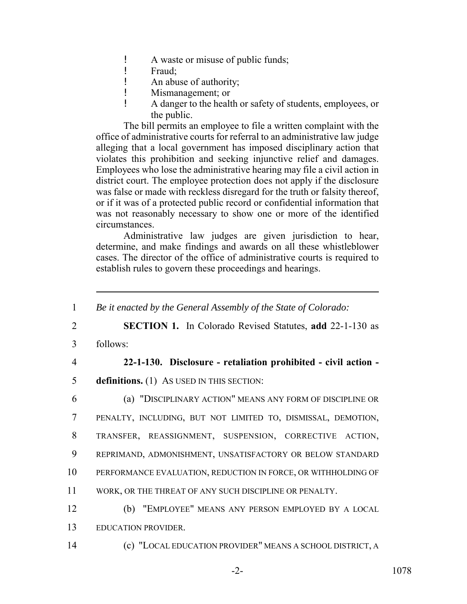- ! A waste or misuse of public funds;
- ! Fraud;
- ! An abuse of authority;
- ! Mismanagement; or
- ! A danger to the health or safety of students, employees, or the public.

The bill permits an employee to file a written complaint with the office of administrative courts for referral to an administrative law judge alleging that a local government has imposed disciplinary action that violates this prohibition and seeking injunctive relief and damages. Employees who lose the administrative hearing may file a civil action in district court. The employee protection does not apply if the disclosure was false or made with reckless disregard for the truth or falsity thereof, or if it was of a protected public record or confidential information that was not reasonably necessary to show one or more of the identified circumstances.

Administrative law judges are given jurisdiction to hear, determine, and make findings and awards on all these whistleblower cases. The director of the office of administrative courts is required to establish rules to govern these proceedings and hearings.

 *Be it enacted by the General Assembly of the State of Colorado:* **SECTION 1.** In Colorado Revised Statutes, **add** 22-1-130 as 3 follows: **22-1-130. Disclosure - retaliation prohibited - civil action - definitions.** (1) AS USED IN THIS SECTION: (a) "DISCIPLINARY ACTION" MEANS ANY FORM OF DISCIPLINE OR PENALTY, INCLUDING, BUT NOT LIMITED TO, DISMISSAL, DEMOTION, TRANSFER, REASSIGNMENT, SUSPENSION, CORRECTIVE ACTION, REPRIMAND, ADMONISHMENT, UNSATISFACTORY OR BELOW STANDARD PERFORMANCE EVALUATION, REDUCTION IN FORCE, OR WITHHOLDING OF WORK, OR THE THREAT OF ANY SUCH DISCIPLINE OR PENALTY. (b) "EMPLOYEE" MEANS ANY PERSON EMPLOYED BY A LOCAL EDUCATION PROVIDER. (c) "LOCAL EDUCATION PROVIDER" MEANS A SCHOOL DISTRICT, A

-2- 1078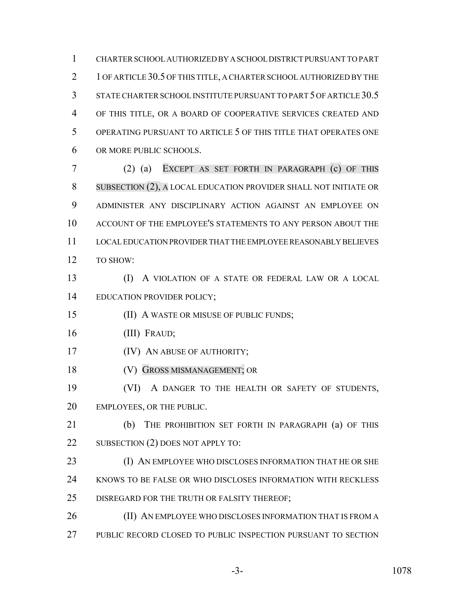CHARTER SCHOOL AUTHORIZED BY A SCHOOL DISTRICT PURSUANT TO PART 2 1 OF ARTICLE 30.5 OF THIS TITLE, A CHARTER SCHOOL AUTHORIZED BY THE STATE CHARTER SCHOOL INSTITUTE PURSUANT TO PART 5 OF ARTICLE 30.5 OF THIS TITLE, OR A BOARD OF COOPERATIVE SERVICES CREATED AND OPERATING PURSUANT TO ARTICLE 5 OF THIS TITLE THAT OPERATES ONE OR MORE PUBLIC SCHOOLS.

 (2) (a) EXCEPT AS SET FORTH IN PARAGRAPH (c) OF THIS SUBSECTION (2), A LOCAL EDUCATION PROVIDER SHALL NOT INITIATE OR ADMINISTER ANY DISCIPLINARY ACTION AGAINST AN EMPLOYEE ON ACCOUNT OF THE EMPLOYEE'S STATEMENTS TO ANY PERSON ABOUT THE LOCAL EDUCATION PROVIDER THAT THE EMPLOYEE REASONABLY BELIEVES TO SHOW:

 (I) A VIOLATION OF A STATE OR FEDERAL LAW OR A LOCAL EDUCATION PROVIDER POLICY;

(II) A WASTE OR MISUSE OF PUBLIC FUNDS;

(III) FRAUD;

(IV) AN ABUSE OF AUTHORITY;

(V) GROSS MISMANAGEMENT; OR

 (VI) A DANGER TO THE HEALTH OR SAFETY OF STUDENTS, EMPLOYEES, OR THE PUBLIC.

 (b) THE PROHIBITION SET FORTH IN PARAGRAPH (a) OF THIS 22 SUBSECTION (2) DOES NOT APPLY TO:

23 (I) AN EMPLOYEE WHO DISCLOSES INFORMATION THAT HE OR SHE KNOWS TO BE FALSE OR WHO DISCLOSES INFORMATION WITH RECKLESS DISREGARD FOR THE TRUTH OR FALSITY THEREOF;

**(II) AN EMPLOYEE WHO DISCLOSES INFORMATION THAT IS FROM A** PUBLIC RECORD CLOSED TO PUBLIC INSPECTION PURSUANT TO SECTION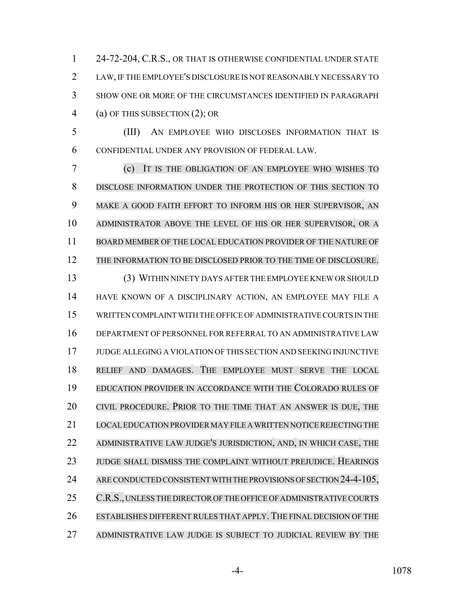24-72-204, C.R.S., OR THAT IS OTHERWISE CONFIDENTIAL UNDER STATE LAW, IF THE EMPLOYEE'S DISCLOSURE IS NOT REASONABLY NECESSARY TO SHOW ONE OR MORE OF THE CIRCUMSTANCES IDENTIFIED IN PARAGRAPH (a) OF THIS SUBSECTION (2); OR

 (III) AN EMPLOYEE WHO DISCLOSES INFORMATION THAT IS CONFIDENTIAL UNDER ANY PROVISION OF FEDERAL LAW.

 (c) IT IS THE OBLIGATION OF AN EMPLOYEE WHO WISHES TO DISCLOSE INFORMATION UNDER THE PROTECTION OF THIS SECTION TO MAKE A GOOD FAITH EFFORT TO INFORM HIS OR HER SUPERVISOR, AN ADMINISTRATOR ABOVE THE LEVEL OF HIS OR HER SUPERVISOR, OR A BOARD MEMBER OF THE LOCAL EDUCATION PROVIDER OF THE NATURE OF THE INFORMATION TO BE DISCLOSED PRIOR TO THE TIME OF DISCLOSURE. (3) WITHIN NINETY DAYS AFTER THE EMPLOYEE KNEW OR SHOULD HAVE KNOWN OF A DISCIPLINARY ACTION, AN EMPLOYEE MAY FILE A WRITTEN COMPLAINT WITH THE OFFICE OF ADMINISTRATIVE COURTS IN THE DEPARTMENT OF PERSONNEL FOR REFERRAL TO AN ADMINISTRATIVE LAW JUDGE ALLEGING A VIOLATION OF THIS SECTION AND SEEKING INJUNCTIVE RELIEF AND DAMAGES. THE EMPLOYEE MUST SERVE THE LOCAL EDUCATION PROVIDER IN ACCORDANCE WITH THE COLORADO RULES OF CIVIL PROCEDURE. PRIOR TO THE TIME THAT AN ANSWER IS DUE, THE LOCALEDUCATION PROVIDERMAY FILE A WRITTEN NOTICE REJECTING THE ADMINISTRATIVE LAW JUDGE'S JURISDICTION, AND, IN WHICH CASE, THE JUDGE SHALL DISMISS THE COMPLAINT WITHOUT PREJUDICE. HEARINGS 24 ARE CONDUCTED CONSISTENT WITH THE PROVISIONS OF SECTION 24-4-105, 25 C.R.S., UNLESS THE DIRECTOR OF THE OFFICE OF ADMINISTRATIVE COURTS ESTABLISHES DIFFERENT RULES THAT APPLY. THE FINAL DECISION OF THE ADMINISTRATIVE LAW JUDGE IS SUBJECT TO JUDICIAL REVIEW BY THE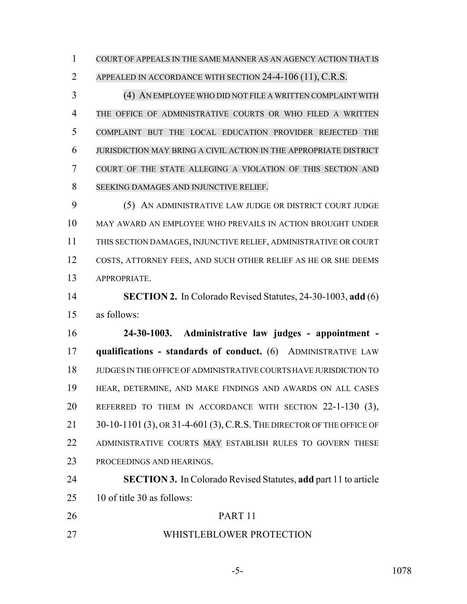COURT OF APPEALS IN THE SAME MANNER AS AN AGENCY ACTION THAT IS APPEALED IN ACCORDANCE WITH SECTION 24-4-106 (11), C.R.S.

 (4) AN EMPLOYEE WHO DID NOT FILE A WRITTEN COMPLAINT WITH THE OFFICE OF ADMINISTRATIVE COURTS OR WHO FILED A WRITTEN COMPLAINT BUT THE LOCAL EDUCATION PROVIDER REJECTED THE JURISDICTION MAY BRING A CIVIL ACTION IN THE APPROPRIATE DISTRICT COURT OF THE STATE ALLEGING A VIOLATION OF THIS SECTION AND SEEKING DAMAGES AND INJUNCTIVE RELIEF.

 (5) AN ADMINISTRATIVE LAW JUDGE OR DISTRICT COURT JUDGE MAY AWARD AN EMPLOYEE WHO PREVAILS IN ACTION BROUGHT UNDER THIS SECTION DAMAGES, INJUNCTIVE RELIEF, ADMINISTRATIVE OR COURT COSTS, ATTORNEY FEES, AND SUCH OTHER RELIEF AS HE OR SHE DEEMS APPROPRIATE.

 **SECTION 2.** In Colorado Revised Statutes, 24-30-1003, **add** (6) as follows:

 **24-30-1003. Administrative law judges - appointment - qualifications - standards of conduct.** (6) ADMINISTRATIVE LAW JUDGES IN THE OFFICE OF ADMINISTRATIVE COURTS HAVE JURISDICTION TO HEAR, DETERMINE, AND MAKE FINDINGS AND AWARDS ON ALL CASES REFERRED TO THEM IN ACCORDANCE WITH SECTION 22-1-130 (3), 21 30-10-1101 (3), OR 31-4-601 (3), C.R.S. THE DIRECTOR OF THE OFFICE OF ADMINISTRATIVE COURTS MAY ESTABLISH RULES TO GOVERN THESE PROCEEDINGS AND HEARINGS.

 **SECTION 3.** In Colorado Revised Statutes, **add** part 11 to article 10 of title 30 as follows:

- PART 11
- WHISTLEBLOWER PROTECTION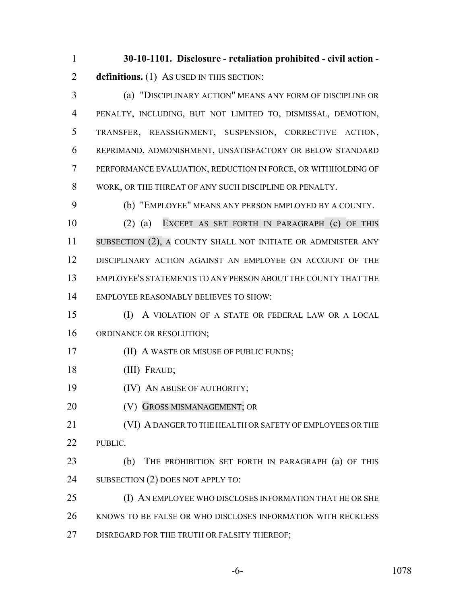**30-10-1101. Disclosure - retaliation prohibited - civil action - definitions.** (1) As USED IN THIS SECTION:

 (a) "DISCIPLINARY ACTION" MEANS ANY FORM OF DISCIPLINE OR PENALTY, INCLUDING, BUT NOT LIMITED TO, DISMISSAL, DEMOTION, TRANSFER, REASSIGNMENT, SUSPENSION, CORRECTIVE ACTION, REPRIMAND, ADMONISHMENT, UNSATISFACTORY OR BELOW STANDARD PERFORMANCE EVALUATION, REDUCTION IN FORCE, OR WITHHOLDING OF WORK, OR THE THREAT OF ANY SUCH DISCIPLINE OR PENALTY.

(b) "EMPLOYEE" MEANS ANY PERSON EMPLOYED BY A COUNTY.

 (2) (a) EXCEPT AS SET FORTH IN PARAGRAPH (c) OF THIS 11 SUBSECTION (2), A COUNTY SHALL NOT INITIATE OR ADMINISTER ANY DISCIPLINARY ACTION AGAINST AN EMPLOYEE ON ACCOUNT OF THE EMPLOYEE'S STATEMENTS TO ANY PERSON ABOUT THE COUNTY THAT THE EMPLOYEE REASONABLY BELIEVES TO SHOW:

 (I) A VIOLATION OF A STATE OR FEDERAL LAW OR A LOCAL ORDINANCE OR RESOLUTION;

- **(II) A WASTE OR MISUSE OF PUBLIC FUNDS;**
- (III) FRAUD;
- (IV) AN ABUSE OF AUTHORITY;
- **(V) GROSS MISMANAGEMENT**; OR

 (VI) A DANGER TO THE HEALTH OR SAFETY OF EMPLOYEES OR THE PUBLIC.

 (b) THE PROHIBITION SET FORTH IN PARAGRAPH (a) OF THIS 24 SUBSECTION (2) DOES NOT APPLY TO:

 (I) AN EMPLOYEE WHO DISCLOSES INFORMATION THAT HE OR SHE KNOWS TO BE FALSE OR WHO DISCLOSES INFORMATION WITH RECKLESS DISREGARD FOR THE TRUTH OR FALSITY THEREOF;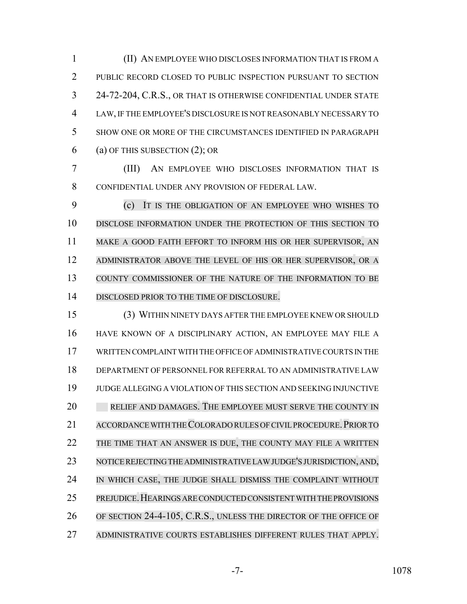(II) AN EMPLOYEE WHO DISCLOSES INFORMATION THAT IS FROM A PUBLIC RECORD CLOSED TO PUBLIC INSPECTION PURSUANT TO SECTION 24-72-204, C.R.S., OR THAT IS OTHERWISE CONFIDENTIAL UNDER STATE LAW, IF THE EMPLOYEE'S DISCLOSURE IS NOT REASONABLY NECESSARY TO SHOW ONE OR MORE OF THE CIRCUMSTANCES IDENTIFIED IN PARAGRAPH (a) OF THIS SUBSECTION (2); OR

 (III) AN EMPLOYEE WHO DISCLOSES INFORMATION THAT IS CONFIDENTIAL UNDER ANY PROVISION OF FEDERAL LAW.

 (c) IT IS THE OBLIGATION OF AN EMPLOYEE WHO WISHES TO DISCLOSE INFORMATION UNDER THE PROTECTION OF THIS SECTION TO MAKE A GOOD FAITH EFFORT TO INFORM HIS OR HER SUPERVISOR, AN ADMINISTRATOR ABOVE THE LEVEL OF HIS OR HER SUPERVISOR, OR A COUNTY COMMISSIONER OF THE NATURE OF THE INFORMATION TO BE DISCLOSED PRIOR TO THE TIME OF DISCLOSURE.

 (3) WITHIN NINETY DAYS AFTER THE EMPLOYEE KNEW OR SHOULD HAVE KNOWN OF A DISCIPLINARY ACTION, AN EMPLOYEE MAY FILE A WRITTEN COMPLAINT WITH THE OFFICE OF ADMINISTRATIVE COURTS IN THE DEPARTMENT OF PERSONNEL FOR REFERRAL TO AN ADMINISTRATIVE LAW JUDGE ALLEGING A VIOLATION OF THIS SECTION AND SEEKING INJUNCTIVE 20 RELIEF AND DAMAGES. THE EMPLOYEE MUST SERVE THE COUNTY IN 21 ACCORDANCE WITH THE COLORADO RULES OF CIVIL PROCEDURE. PRIOR TO THE TIME THAT AN ANSWER IS DUE, THE COUNTY MAY FILE A WRITTEN NOTICE REJECTING THE ADMINISTRATIVE LAW JUDGE'S JURISDICTION, AND, IN WHICH CASE, THE JUDGE SHALL DISMISS THE COMPLAINT WITHOUT PREJUDICE.HEARINGS ARE CONDUCTED CONSISTENT WITH THE PROVISIONS OF SECTION 24-4-105, C.R.S., UNLESS THE DIRECTOR OF THE OFFICE OF ADMINISTRATIVE COURTS ESTABLISHES DIFFERENT RULES THAT APPLY.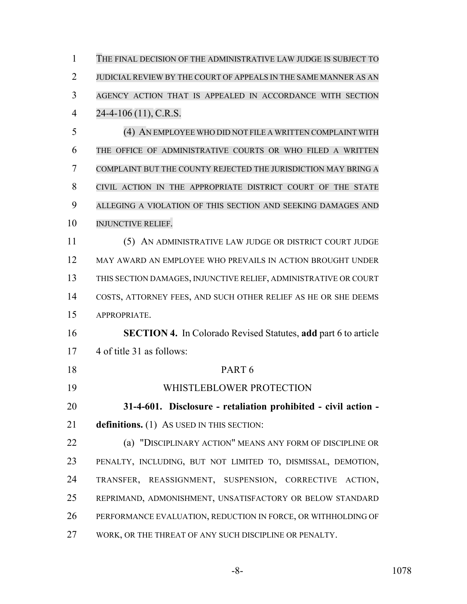| 1              | THE FINAL DECISION OF THE ADMINISTRATIVE LAW JUDGE IS SUBJECT TO      |
|----------------|-----------------------------------------------------------------------|
| $\overline{2}$ | JUDICIAL REVIEW BY THE COURT OF APPEALS IN THE SAME MANNER AS AN      |
| 3              | AGENCY ACTION THAT IS APPEALED IN ACCORDANCE WITH SECTION             |
| $\overline{4}$ | $24-4-106(11)$ , C.R.S.                                               |
| 5              | (4) AN EMPLOYEE WHO DID NOT FILE A WRITTEN COMPLAINT WITH             |
| 6              | THE OFFICE OF ADMINISTRATIVE COURTS OR WHO FILED A WRITTEN            |
| 7              | COMPLAINT BUT THE COUNTY REJECTED THE JURISDICTION MAY BRING A        |
| 8              | CIVIL ACTION IN THE APPROPRIATE DISTRICT COURT OF THE STATE           |
| 9              | ALLEGING A VIOLATION OF THIS SECTION AND SEEKING DAMAGES AND          |
| 10             | <b>INJUNCTIVE RELIEF.</b>                                             |
| 11             | (5) AN ADMINISTRATIVE LAW JUDGE OR DISTRICT COURT JUDGE               |
| 12             | MAY AWARD AN EMPLOYEE WHO PREVAILS IN ACTION BROUGHT UNDER            |
| 13             | THIS SECTION DAMAGES, INJUNCTIVE RELIEF, ADMINISTRATIVE OR COURT      |
| 14             | COSTS, ATTORNEY FEES, AND SUCH OTHER RELIEF AS HE OR SHE DEEMS        |
| 15             | APPROPRIATE.                                                          |
| 16             | <b>SECTION 4.</b> In Colorado Revised Statutes, add part 6 to article |
| 17             | 4 of title 31 as follows:                                             |
| 18             | PART <sub>6</sub>                                                     |
| 19             | WHISTLEBLOWER PROTECTION                                              |
| 20             | 31-4-601. Disclosure - retaliation prohibited - civil action -        |
| 21             | definitions. (1) AS USED IN THIS SECTION:                             |
| 22             | (a) "DISCIPLINARY ACTION" MEANS ANY FORM OF DISCIPLINE OR             |
| 23             | PENALTY, INCLUDING, BUT NOT LIMITED TO, DISMISSAL, DEMOTION,          |
| 24             | TRANSFER, REASSIGNMENT, SUSPENSION, CORRECTIVE ACTION,                |
| 25             | REPRIMAND, ADMONISHMENT, UNSATISFACTORY OR BELOW STANDARD             |
| 26             | PERFORMANCE EVALUATION, REDUCTION IN FORCE, OR WITHHOLDING OF         |
| $\sim$ $\sim$  |                                                                       |

WORK, OR THE THREAT OF ANY SUCH DISCIPLINE OR PENALTY.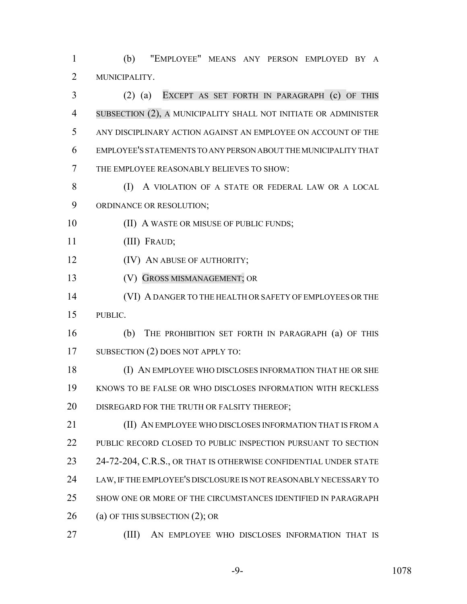(b) "EMPLOYEE" MEANS ANY PERSON EMPLOYED BY A MUNICIPALITY.

 (2) (a) EXCEPT AS SET FORTH IN PARAGRAPH (c) OF THIS SUBSECTION (2), A MUNICIPALITY SHALL NOT INITIATE OR ADMINISTER ANY DISCIPLINARY ACTION AGAINST AN EMPLOYEE ON ACCOUNT OF THE EMPLOYEE'S STATEMENTS TO ANY PERSON ABOUT THE MUNICIPALITY THAT THE EMPLOYEE REASONABLY BELIEVES TO SHOW:

8 (I) A VIOLATION OF A STATE OR FEDERAL LAW OR A LOCAL ORDINANCE OR RESOLUTION;

**(II) A WASTE OR MISUSE OF PUBLIC FUNDS;** 

(III) FRAUD;

**(IV) AN ABUSE OF AUTHORITY;** 

(V) GROSS MISMANAGEMENT; OR

 (VI) A DANGER TO THE HEALTH OR SAFETY OF EMPLOYEES OR THE PUBLIC.

 (b) THE PROHIBITION SET FORTH IN PARAGRAPH (a) OF THIS 17 SUBSECTION (2) DOES NOT APPLY TO:

 (I) AN EMPLOYEE WHO DISCLOSES INFORMATION THAT HE OR SHE KNOWS TO BE FALSE OR WHO DISCLOSES INFORMATION WITH RECKLESS DISREGARD FOR THE TRUTH OR FALSITY THEREOF;

**(II) AN EMPLOYEE WHO DISCLOSES INFORMATION THAT IS FROM A** 22 PUBLIC RECORD CLOSED TO PUBLIC INSPECTION PURSUANT TO SECTION 23 24-72-204, C.R.S., OR THAT IS OTHERWISE CONFIDENTIAL UNDER STATE LAW, IF THE EMPLOYEE'S DISCLOSURE IS NOT REASONABLY NECESSARY TO SHOW ONE OR MORE OF THE CIRCUMSTANCES IDENTIFIED IN PARAGRAPH (a) OF THIS SUBSECTION (2); OR

(III) AN EMPLOYEE WHO DISCLOSES INFORMATION THAT IS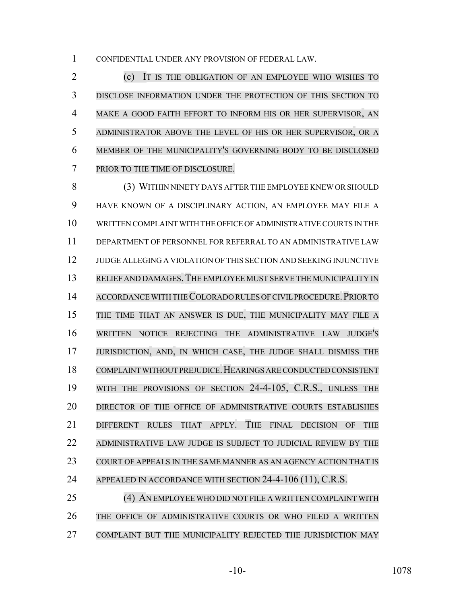CONFIDENTIAL UNDER ANY PROVISION OF FEDERAL LAW.

 (c) IT IS THE OBLIGATION OF AN EMPLOYEE WHO WISHES TO DISCLOSE INFORMATION UNDER THE PROTECTION OF THIS SECTION TO MAKE A GOOD FAITH EFFORT TO INFORM HIS OR HER SUPERVISOR, AN ADMINISTRATOR ABOVE THE LEVEL OF HIS OR HER SUPERVISOR, OR A MEMBER OF THE MUNICIPALITY'S GOVERNING BODY TO BE DISCLOSED PRIOR TO THE TIME OF DISCLOSURE.

 (3) WITHIN NINETY DAYS AFTER THE EMPLOYEE KNEW OR SHOULD HAVE KNOWN OF A DISCIPLINARY ACTION, AN EMPLOYEE MAY FILE A WRITTEN COMPLAINT WITH THE OFFICE OF ADMINISTRATIVE COURTS IN THE DEPARTMENT OF PERSONNEL FOR REFERRAL TO AN ADMINISTRATIVE LAW JUDGE ALLEGING A VIOLATION OF THIS SECTION AND SEEKING INJUNCTIVE RELIEF AND DAMAGES.THE EMPLOYEE MUST SERVE THE MUNICIPALITY IN 14 ACCORDANCE WITH THE COLORADO RULES OF CIVIL PROCEDURE. PRIOR TO THE TIME THAT AN ANSWER IS DUE, THE MUNICIPALITY MAY FILE A WRITTEN NOTICE REJECTING THE ADMINISTRATIVE LAW JUDGE'S JURISDICTION, AND, IN WHICH CASE, THE JUDGE SHALL DISMISS THE COMPLAINT WITHOUT PREJUDICE.HEARINGS ARE CONDUCTED CONSISTENT WITH THE PROVISIONS OF SECTION 24-4-105, C.R.S., UNLESS THE 20 DIRECTOR OF THE OFFICE OF ADMINISTRATIVE COURTS ESTABLISHES DIFFERENT RULES THAT APPLY. THE FINAL DECISION OF THE ADMINISTRATIVE LAW JUDGE IS SUBJECT TO JUDICIAL REVIEW BY THE COURT OF APPEALS IN THE SAME MANNER AS AN AGENCY ACTION THAT IS 24 APPEALED IN ACCORDANCE WITH SECTION 24-4-106 (11), C.R.S.

 (4) AN EMPLOYEE WHO DID NOT FILE A WRITTEN COMPLAINT WITH THE OFFICE OF ADMINISTRATIVE COURTS OR WHO FILED A WRITTEN COMPLAINT BUT THE MUNICIPALITY REJECTED THE JURISDICTION MAY